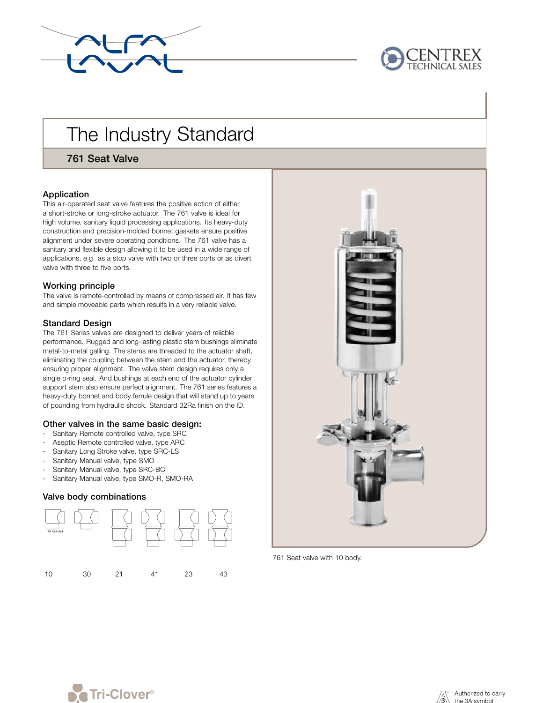



# The Industry Standard

761 Seat Valve

# Application

This air-operated seat valve features the positive action of either a short-stroke or long-stroke actuator. The 761 valve is ideal for high volume, sanitary liquid processing applications. Its heavy-duty construction and precision-molded bonnet gaskets ensure positive alignment under severe operating conditions. The 761 valve has a sanitary and flexible design allowing it to be used in a wide range of applications, e.g. as a stop valve with two or three ports or as divert valve with three to five ports.

# Working principle

The valve is remote-controlled by means of compressed air. It has few and simple moveable parts which results in a very reliable valve.

#### Standard Design

The 761 Series valves are designed to deliver years of reliable performance. Rugged and long-lasting plastic stem bushings eliminate metal-to-metal galling. The stems are threaded to the actuator shaft, eliminating the coupling between the stem and the actuator, thereby ensuring proper alignment. The valve stem design requires only a single o-ring seal. And bushings at each end of the actuator cylinder support stem also ensure perfect alignment. The 761 series features a heavy-duty bonnet and body ferrule design that will stand up to years of pounding from hydraulic shock. Standard 32Ra finish on the ID.

#### Other valves in the same basic design:

- Sanitary Remote controlled valve, type SRC
- Aseptic Remote controlled valve, type ARC
- Sanitary Long Stroke valve, type SRC-LS
- Sanitary Manual valve, type SMO
- Sanitary Manual valve, type SRC-BC
- Sanitary Manual valve, type SMO-R, SMO-RA

# Valve body combinations





761 Seat valve with 10 body.



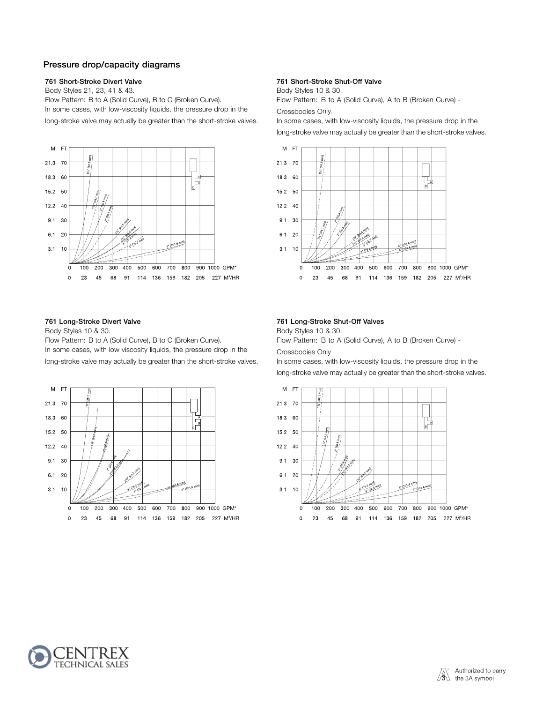# Pressure drop/capacity diagrams

Body Styles 21, 23, 41 & 43. Body Styles 10 & 30. Flow Pattern: B to A (Solid Curve), B to C (Broken Curve). Flow Pattern: B to A (Solid Curve), A to B (Broken Curve) -In some cases, with low-viscosity liquids, the pressure drop in the Crossbodies Only. long-stroke valve may actually be greater than the short-stroke valves. In some cases, with low-viscosity liquids, the pressure drop in the



Body Styles 10 & 30. Body Styles 10 & 30.

Flow Pattern: B to A (Solid Curve), B to C (Broken Curve). Flow Pattern: B to A (Solid Curve), A to B (Broken Curve) -In some cases, with low viscosity liquids, the pressure drop in the Crossbodies Only long-stroke valve may actually be greater than the short-stroke valves. In some cases, with low-viscosity liquids, the pressure drop in the



#### 761 Short-Stroke Divert Valve 761 Short-Stroke Shut-Off Valve

long-stroke valve may actually be greater than the short-stroke valves.



#### 761 Long-Stroke Divert Valve 761 Long-Stroke Shut-Off Valves

long-stroke valve may actually be greater than the short-stroke valves.



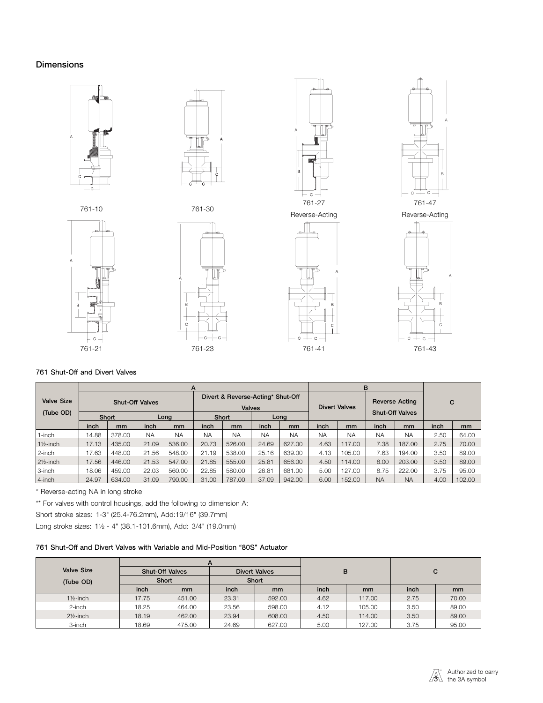# Dimensions





















# 761 Shut-Off and Divert Valves

|                      | A                      |        |           |        |                                             |               |           | в                    |                        |                       |           |           |      |        |
|----------------------|------------------------|--------|-----------|--------|---------------------------------------------|---------------|-----------|----------------------|------------------------|-----------------------|-----------|-----------|------|--------|
| <b>Valve Size</b>    | <b>Shut-Off Valves</b> |        |           |        | Divert & Reverse-Acting* Shut-Off<br>Valves |               |           | <b>Divert Valves</b> |                        | <b>Reverse Acting</b> |           |           | C    |        |
| (Tube OD)            |                        | Short  |           | Long   |                                             | Short         |           | Long                 | <b>Shut-Off Valves</b> |                       |           |           |      |        |
|                      | inch                   | mm     | inch      | mm     | inch                                        | <sub>mm</sub> | inch      | mm                   | inch                   | mm                    | inch      | mm        | inch | mm     |
| 1-inch               | 14.88                  | 378.00 | <b>NA</b> | NΑ     | <b>NA</b>                                   | <b>NA</b>     | <b>NA</b> | <b>NA</b>            | NA                     | <b>NA</b>             | <b>NA</b> | <b>NA</b> | 2.50 | 64.00  |
| $1\frac{1}{2}$ -inch | 17.13                  | 435.00 | 21.09     | 536.00 | 20.73                                       | 526.00        | 24.69     | 627.00               | 4.63                   | 117.00                | 7.38      | 187.00    | 2.75 | 70.00  |
| 2-inch               | 17.63                  | 448.00 | 21.56     | 548.00 | 21.19                                       | 538.00        | 25.16     | 639.00               | 4.13                   | 105.00                | 7.63      | 194.00    | 3.50 | 89.00  |
| $2\frac{1}{2}$ -inch | 17.56                  | 446.00 | 21.53     | 547.00 | 21.85                                       | 555.00        | 25.81     | 656.00               | 4.50                   | 114.00                | 8.00      | 203.00    | 3.50 | 89.00  |
| 3-inch               | 18.06                  | 459.00 | 22.03     | 560.00 | 22.85                                       | 580.00        | 26.81     | 681.00               | 5.00                   | 127.00                | 8.75      | 222.00    | 3.75 | 95.00  |
| 4-inch               | 24.97                  | 634.00 | 31.09     | 790.00 | 31.00                                       | 787.00        | 37.09     | 942.00               | 6.00                   | 152.00                | <b>NA</b> | <b>NA</b> | 4.00 | 102.00 |

\* Reverse-acting NA in long stroke

\*\* For valves with control housings, add the following to dimension A:

Short stroke sizes: 1-3" (25.4-76.2mm), Add:19/16" (39.7mm)

Long stroke sizes: 1½ - 4" (38.1-101.6mm), Add: 3/4" (19.0mm)

# 761 Shut-Off and Divert Valves with Variable and Mid-Position "80S" Actuator

|                      |                        | A             |       |                      |      |               |      |               |
|----------------------|------------------------|---------------|-------|----------------------|------|---------------|------|---------------|
| <b>Valve Size</b>    | <b>Shut-Off Valves</b> |               |       | <b>Divert Valves</b> | B    |               |      | С             |
| (Tube OD)            | Short                  |               | Short |                      |      |               |      |               |
|                      | inch                   | <sub>mm</sub> | inch  | <sub>mm</sub>        | inch | <sub>mm</sub> | inch | <sub>mm</sub> |
| $1\frac{1}{2}$ -inch | 17.75                  | 451.00        | 23.31 | 592.00               | 4.62 | 117.00        | 2.75 | 70.00         |
| 2-inch               | 18.25                  | 464.00        | 23.56 | 598.00               | 4.12 | 105.00        | 3.50 | 89.00         |
| $2\frac{1}{2}$ -inch | 18.19                  | 462.00        | 23.94 | 608.00               | 4.50 | 114.00        | 3.50 | 89.00         |
| 3-inch               | 18.69                  | 475.00        | 24.69 | 627.00               | 5.00 | 127.00        | 3.75 | 95.00         |

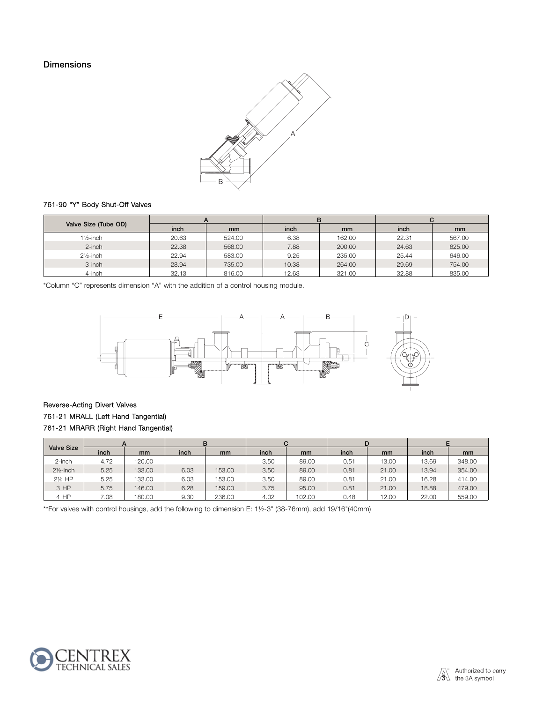# **Dimensions**



# 761-90 "Y" Body Shut-Off Valves

|                      |       |               |       | в      |       |               |
|----------------------|-------|---------------|-------|--------|-------|---------------|
| Valve Size (Tube OD) | inch  | <sub>mm</sub> | inch  | mm     | inch  | <sub>mm</sub> |
| $1\frac{1}{2}$ -inch | 20.63 | 524.00        | 6.38  | 162.00 | 22.31 | 567.00        |
| 2-inch               | 22.38 | 568.00        | 7.88  | 200.00 | 24.63 | 625.00        |
| $2\frac{1}{2}$ -inch | 22.94 | 583.00        | 9.25  | 235.00 | 25.44 | 646.00        |
| 3-inch               | 28.94 | 735.00        | 10.38 | 264.00 | 29.69 | 754.00        |
| 4-inch               | 32.13 | 816.00        | 12.63 | 321.00 | 32.88 | 835.00        |

\*Column "C" represents dimension "A" with the addition of a control housing module.



# Reverse-Acting Divert Valves 761-21 MRALL (Left Hand Tangential) 761-21 MRARR (Right Hand Tangential)

|                      |      |               |      | в      |      |               | D    |               |       |               |
|----------------------|------|---------------|------|--------|------|---------------|------|---------------|-------|---------------|
| <b>Valve Size</b>    | inch | <sub>mm</sub> | inch | mm     | inch | <sub>mm</sub> | inch | <sub>mm</sub> | inch  | <sub>mm</sub> |
| 2-inch               | 4.72 | 120.00        |      |        | 3.50 | 89.00         | 0.51 | 13.00         | 13.69 | 348.00        |
| $2\frac{1}{2}$ -inch | 5.25 | 133.00        | 6.03 | 153.00 | 3.50 | 89.00         | 0.81 | 21.00         | 13.94 | 354.00        |
| 21/ <sub>2</sub> HP  | 5.25 | 133.00        | 6.03 | 153.00 | 3.50 | 89.00         | 0.81 | 21.00         | 16.28 | 414.00        |
| 3 HP                 | 5.75 | 146.00        | 6.28 | 159.00 | 3.75 | 95.00         | 0.81 | 21.00         | 18.88 | 479.00        |
| 4 HP                 | 7.08 | 180.00        | 9.30 | 236.00 | 4.02 | 102.00        | 0.48 | 12.00         | 22.00 | 559.00        |

\*\*For valves with control housings, add the following to dimension E: 1½-3" (38-76mm), add 19/16"(40mm)

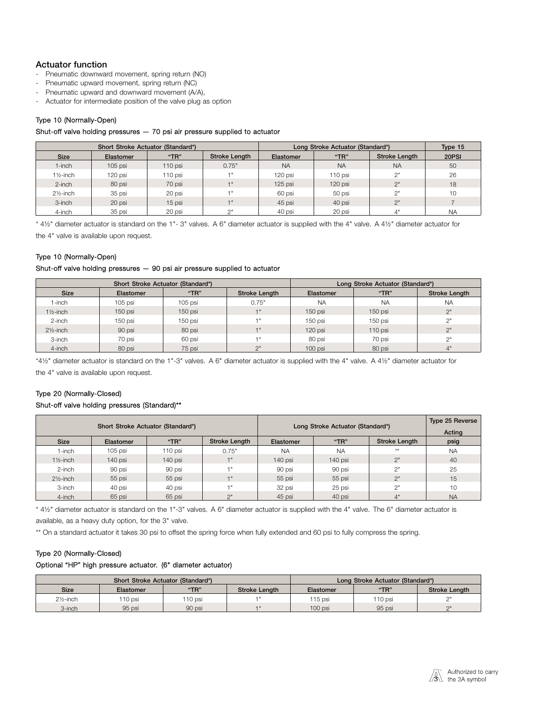# Actuator function

- Pneumatic downward movement, spring return (NO)
- Pneumatic upward movement, spring return (NC)<br>- Pneumatic upward and downward movement (A)
- Pneumatic upward and downward movement (A/A),
- Actuator for intermediate position of the valve plug as option

# Type 10 (Normally-Open)

#### Shut-off valve holding pressures — 70 psi air pressure supplied to actuator

|                      |           | Short Stroke Actuator (Standard*) |                      | Long Stroke Actuator (Standard*) | Type 15   |                      |           |
|----------------------|-----------|-----------------------------------|----------------------|----------------------------------|-----------|----------------------|-----------|
| <b>Size</b>          | Elastomer | "TR"                              | <b>Stroke Length</b> | Elastomer                        | "TR"      | <b>Stroke Length</b> | 20PSI     |
| 1-inch               | $105$ psi | $110$ psi                         | 0.75"                | <b>NA</b>                        | <b>NA</b> | <b>NA</b>            | 50        |
| $1\frac{1}{2}$ -inch | 120 psi   | 110 psi                           | $-1$                 | 120 psi                          | $110$ psi | 2"                   | 26        |
| $2$ -inch            | 80 psi    | 70 psi                            |                      | $125$ psi                        | $120$ psi | 2"                   | 18        |
| $2\frac{1}{2}$ -inch | 35 psi    | 20 psi                            |                      | 60 psi                           | 50 psi    | 2"                   | 10        |
| 3-inch               | 20 psi    | 15 psi                            |                      | 45 psi                           | 40 psi    | 2"                   |           |
| 4-inch               | 35 psi    | 20 psi                            | $\bigcap$            | 40 psi                           | 20 psi    |                      | <b>NA</b> |

\* 4½" diameter actuator is standard on the 1"- 3" valves. A 6" diameter actuator is supplied with the 4" valve. A 4½" diameter actuator for

the 4" valve is available upon request.

# Type 10 (Normally-Open)

#### Shut-off valve holding pressures — 90 psi air pressure supplied to actuator

|                      |           | Short Stroke Actuator (Standard*) | Long Stroke Actuator (Standard*) |           |           |                      |
|----------------------|-----------|-----------------------------------|----------------------------------|-----------|-----------|----------------------|
| <b>Size</b>          | Elastomer | "TR"                              | <b>Stroke Length</b>             | Elastomer | "TR"      | <b>Stroke Length</b> |
| 1-inch               | $105$ psi | 105 psi                           | 0.75"                            | <b>NA</b> | <b>NA</b> | <b>NA</b>            |
| $1\frac{1}{2}$ -inch | $150$ psi | 150 psi                           |                                  | $150$ psi | $150$ psi | 2"                   |
| 2-inch               | 150 psi   | 150 psi                           |                                  | 150 psi   | 150 psi   | $\bigcap$            |
| $2\frac{1}{2}$ -inch | 90 psi    | 80 psi                            | 1 "                              | 120 psi   | $110$ psi | 2"                   |
| 3-inch               | 70 psi    | 60 psi                            |                                  | 80 psi    | 70 psi    | $\bigcap$            |
| 4-inch               | 80 psi    | 75 psi                            | $\bigcap$                        | 100 psi   | 80 psi    | ₫"                   |

\*4½" diameter actuator is standard on the 1"-3" valves. A 6" diameter actuator is supplied with the 4" valve. A 4½" diameter actuator for the 4" valve is available upon request.

# Type 20 (Normally-Closed)

#### Shut-off valve holding pressures (Standard)\*\*

|                      |           | Short Stroke Actuator (Standard*) |                      | Long Stroke Actuator (Standard*) | Type 25 Reverse<br>Acting |               |           |
|----------------------|-----------|-----------------------------------|----------------------|----------------------------------|---------------------------|---------------|-----------|
| <b>Size</b>          | Elastomer | "TR"                              | <b>Stroke Length</b> | Elastomer                        | " $TR"$                   | Stroke Length | psig      |
| 1-inch               | 105 psi   | 110 psi                           | 0.75"                | <b>NA</b>                        | <b>NA</b>                 | **            | <b>NA</b> |
| $1\frac{1}{2}$ -inch | 140 psi   | 140 psi                           |                      | 140 psi                          | 140 psi                   | 2"            | 40        |
| 2-inch               | 90 psi    | 90 psi                            |                      | 90 psi                           | 90 psi                    | 2"            | 25        |
| $2\frac{1}{2}$ -inch | 55 psi    | 55 psi                            |                      | 55 psi                           | 55 psi                    | 2"            | 15        |
| 3-inch               | 40 psi    | 40 psi                            |                      | 32 psi                           | 25 psi                    | 2"            | 10        |
| 4-inch               | 65 psi    | 65 psi                            | $\Omega$             | 45 psi                           | 40 psi                    | 4"            | <b>NA</b> |

\* 4½" diameter actuator is standard on the 1"-3" valves. A 6" diameter actuator is supplied with the 4" valve. The 6" diameter actuator is available, as a heavy duty option, for the 3" valve.

\*\* On a standard actuator it takes 30 psi to offset the spring force when fully extended and 60 psi to fully compress the spring.

#### Type 20 (Normally-Closed)

#### Optional "HP" high pressure actuator. (6" diameter actuator)

|                      |           | Short Stroke Actuator (Standard*) | Long Stroke Actuator (Standard*) |           |         |                      |
|----------------------|-----------|-----------------------------------|----------------------------------|-----------|---------|----------------------|
| <b>Size</b>          | Elastomer | "TR"                              | <b>Stroke Lenath</b>             | Elastomer | "TR"    | <b>Stroke Length</b> |
| $2\frac{1}{2}$ -inch | 110 psi   | 110 psi                           |                                  | 15 psi    | 110 psi | $\bigcap$            |
| 3-inch               | 95 psi    | 90 psi                            |                                  | $100$ psi | 95 psi  | $\bigcap$            |